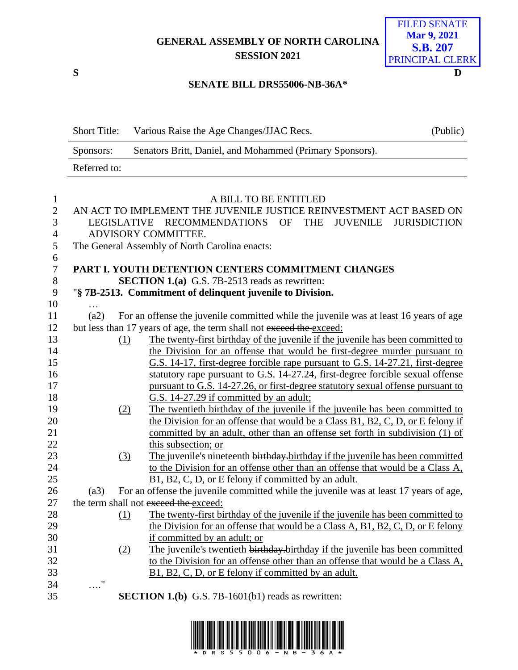**GENERAL ASSEMBLY OF NORTH CAROLINA SESSION 2021**



## **SENATE BILL DRS55006-NB-36A\***

|                | <b>Short Title:</b> | Various Raise the Age Changes/JJAC Recs.                                               | (Public)            |
|----------------|---------------------|----------------------------------------------------------------------------------------|---------------------|
|                | Sponsors:           | Senators Britt, Daniel, and Mohammed (Primary Sponsors).                               |                     |
|                | Referred to:        |                                                                                        |                     |
|                |                     |                                                                                        |                     |
| 1              |                     | A BILL TO BE ENTITLED                                                                  |                     |
| $\mathbf{2}$   |                     | AN ACT TO IMPLEMENT THE JUVENILE JUSTICE REINVESTMENT ACT BASED ON                     |                     |
| 3              |                     | RECOMMENDATIONS OF<br><b>THE</b><br><b>JUVENILE</b><br>LEGISLATIVE                     | <b>JURISDICTION</b> |
| 4              |                     | ADVISORY COMMITTEE.                                                                    |                     |
| 5              |                     | The General Assembly of North Carolina enacts:                                         |                     |
| 6              |                     |                                                                                        |                     |
| $\overline{7}$ |                     | PART I. YOUTH DETENTION CENTERS COMMITMENT CHANGES                                     |                     |
| $8\,$          |                     | <b>SECTION 1.(a)</b> G.S. 7B-2513 reads as rewritten:                                  |                     |
| 9              |                     | "§ 7B-2513. Commitment of delinquent juvenile to Division.                             |                     |
| 10             |                     |                                                                                        |                     |
| 11             | (a2)                | For an offense the juvenile committed while the juvenile was at least 16 years of age  |                     |
| 12             |                     | but less than 17 years of age, the term shall not exceed the exceed:                   |                     |
| 13             |                     | The twenty-first birthday of the juvenile if the juvenile has been committed to<br>(1) |                     |
| 14             |                     | the Division for an offense that would be first-degree murder pursuant to              |                     |
| 15             |                     | G.S. 14-17, first-degree forcible rape pursuant to G.S. 14-27.21, first-degree         |                     |
| 16             |                     | statutory rape pursuant to G.S. 14-27.24, first-degree forcible sexual offense         |                     |
| 17             |                     | pursuant to G.S. 14-27.26, or first-degree statutory sexual offense pursuant to        |                     |
| 18             |                     | G.S. 14-27.29 if committed by an adult;                                                |                     |
| 19             |                     | The twentieth birthday of the juvenile if the juvenile has been committed to<br>(2)    |                     |
| 20             |                     | the Division for an offense that would be a Class B1, B2, C, D, or E felony if         |                     |
| 21             |                     | committed by an adult, other than an offense set forth in subdivision (1) of           |                     |
| 22             |                     | this subsection; or                                                                    |                     |
| 23             |                     | The juvenile's nineteenth birthday birthday if the juvenile has been committed<br>(3)  |                     |
| 24             |                     | to the Division for an offense other than an offense that would be a Class A,          |                     |
| 25             |                     | B1, B2, C, D, or E felony if committed by an adult.                                    |                     |
| 26             | (a3)                | For an offense the juvenile committed while the juvenile was at least 17 years of age, |                     |
| 27             |                     | the term shall not exceed the exceed:                                                  |                     |
| 28             |                     | The twenty-first birthday of the juvenile if the juvenile has been committed to<br>(1) |                     |
| 29             |                     | the Division for an offense that would be a Class A, B1, B2, C, D, or E felony         |                     |
| 30             |                     | if committed by an adult; or                                                           |                     |
| 31             |                     | The juvenile's twentieth birthday-birthday if the juvenile has been committed<br>(2)   |                     |
| 32             |                     | to the Division for an offense other than an offense that would be a Class A,          |                     |
| 33             |                     | B1, B2, C, D, or E felony if committed by an adult.                                    |                     |
| 34             | $^{\prime\prime}$   |                                                                                        |                     |
| 35             |                     |                                                                                        |                     |
|                |                     | <b>SECTION 1.(b)</b> G.S. 7B-1601(b1) reads as rewritten:                              |                     |

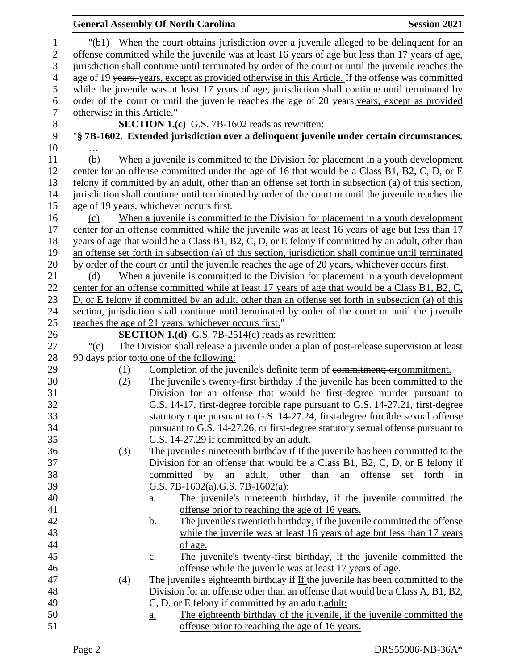|                                         |                             | <b>General Assembly Of North Carolina</b>                                                                                                                                                                                                                                                             | <b>Session 2021</b> |
|-----------------------------------------|-----------------------------|-------------------------------------------------------------------------------------------------------------------------------------------------------------------------------------------------------------------------------------------------------------------------------------------------------|---------------------|
| 1<br>$\boldsymbol{2}$<br>$\mathfrak{Z}$ |                             | "(b1) When the court obtains jurisdiction over a juvenile alleged to be delinquent for an<br>offense committed while the juvenile was at least 16 years of age but less than 17 years of age,<br>jurisdiction shall continue until terminated by order of the court or until the juvenile reaches the |                     |
| $\overline{4}$                          |                             | age of 19 years. years, except as provided otherwise in this Article. If the offense was committed                                                                                                                                                                                                    |                     |
| 5                                       |                             | while the juvenile was at least 17 years of age, jurisdiction shall continue until terminated by                                                                                                                                                                                                      |                     |
| 6                                       |                             | order of the court or until the juvenile reaches the age of 20 years years, except as provided                                                                                                                                                                                                        |                     |
| $\boldsymbol{7}$                        | otherwise in this Article." |                                                                                                                                                                                                                                                                                                       |                     |
| $8\,$                                   |                             | <b>SECTION 1.(c)</b> G.S. 7B-1602 reads as rewritten:                                                                                                                                                                                                                                                 |                     |
| 9                                       |                             | "§ 7B-1602. Extended jurisdiction over a delinquent juvenile under certain circumstances.                                                                                                                                                                                                             |                     |
| 10                                      |                             |                                                                                                                                                                                                                                                                                                       |                     |
| 11                                      | (b)                         | When a juvenile is committed to the Division for placement in a youth development                                                                                                                                                                                                                     |                     |
| 12                                      |                             | center for an offense committed under the age of 16 that would be a Class B1, B2, C, D, or E                                                                                                                                                                                                          |                     |
| 13                                      |                             | felony if committed by an adult, other than an offense set forth in subsection (a) of this section,                                                                                                                                                                                                   |                     |
| 14                                      |                             | jurisdiction shall continue until terminated by order of the court or until the juvenile reaches the                                                                                                                                                                                                  |                     |
| 15                                      |                             | age of 19 years, whichever occurs first.                                                                                                                                                                                                                                                              |                     |
| 16                                      | (c)                         | When a juvenile is committed to the Division for placement in a youth development                                                                                                                                                                                                                     |                     |
| 17                                      |                             | center for an offense committed while the juvenile was at least 16 years of age but less than 17                                                                                                                                                                                                      |                     |
| 18                                      |                             | years of age that would be a Class B1, B2, C, D, or E felony if committed by an adult, other than                                                                                                                                                                                                     |                     |
| 19                                      |                             | an offense set forth in subsection (a) of this section, jurisdiction shall continue until terminated                                                                                                                                                                                                  |                     |
| 20                                      |                             | by order of the court or until the juvenile reaches the age of 20 years, whichever occurs first.                                                                                                                                                                                                      |                     |
| 21                                      | (d)                         | When a juvenile is committed to the Division for placement in a youth development                                                                                                                                                                                                                     |                     |
| 22                                      |                             | center for an offense committed while at least 17 years of age that would be a Class B1, B2, C,                                                                                                                                                                                                       |                     |
| 23                                      |                             | D, or E felony if committed by an adult, other than an offense set forth in subsection (a) of this                                                                                                                                                                                                    |                     |
| 24                                      |                             | section, jurisdiction shall continue until terminated by order of the court or until the juvenile                                                                                                                                                                                                     |                     |
| 25                                      |                             | reaches the age of 21 years, whichever occurs first."                                                                                                                                                                                                                                                 |                     |
| 26                                      |                             | <b>SECTION 1.(d)</b> G.S. 7B-2514(c) reads as rewritten:                                                                                                                                                                                                                                              |                     |
| 27                                      | " $(c)$                     | The Division shall release a juvenile under a plan of post-release supervision at least                                                                                                                                                                                                               |                     |
| 28                                      |                             | 90 days prior to: to one of the following:                                                                                                                                                                                                                                                            |                     |
| 29                                      | (1)                         | Completion of the juvenile's definite term of commitment; or commitment.                                                                                                                                                                                                                              |                     |
| 30                                      | (2)                         | The juvenile's twenty-first birthday if the juvenile has been committed to the                                                                                                                                                                                                                        |                     |
| 31                                      |                             | Division for an offense that would be first-degree murder pursuant to                                                                                                                                                                                                                                 |                     |
| 32                                      |                             | G.S. 14-17, first-degree forcible rape pursuant to G.S. 14-27.21, first-degree                                                                                                                                                                                                                        |                     |
| 33                                      |                             | statutory rape pursuant to G.S. 14-27.24, first-degree forcible sexual offense                                                                                                                                                                                                                        |                     |
| 34                                      |                             | pursuant to G.S. 14-27.26, or first-degree statutory sexual offense pursuant to                                                                                                                                                                                                                       |                     |
| 35                                      |                             | G.S. 14-27.29 if committed by an adult.                                                                                                                                                                                                                                                               |                     |
| 36                                      | (3)                         | The juvenile's nineteenth birthday if If the juvenile has been committed to the                                                                                                                                                                                                                       |                     |
| 37                                      |                             | Division for an offense that would be a Class B1, B2, C, D, or E felony if                                                                                                                                                                                                                            |                     |
| 38                                      |                             | committed<br>adult, other than<br>by<br>an<br>an offense                                                                                                                                                                                                                                              | set forth in        |
| 39                                      |                             | G.S. 7B-1602(a).G.S. 7B-1602(a):                                                                                                                                                                                                                                                                      |                     |
| 40                                      |                             | The juvenile's nineteenth birthday, if the juvenile committed the<br><u>a.</u>                                                                                                                                                                                                                        |                     |
| 41                                      |                             | offense prior to reaching the age of 16 years.                                                                                                                                                                                                                                                        |                     |
| 42                                      |                             | The juvenile's twentieth birthday, if the juvenile committed the offense<br><u>b.</u>                                                                                                                                                                                                                 |                     |
| 43                                      |                             | while the juvenile was at least 16 years of age but less than 17 years                                                                                                                                                                                                                                |                     |
| 44                                      |                             | of age.                                                                                                                                                                                                                                                                                               |                     |
| 45<br>46                                |                             | The juvenile's twenty-first birthday, if the juvenile committed the<br>$\underline{c}$ .<br>offense while the juvenile was at least 17 years of age.                                                                                                                                                  |                     |
| 47                                      |                             | The juvenile's eighteenth birthday if If the juvenile has been committed to the                                                                                                                                                                                                                       |                     |
| 48                                      | (4)                         | Division for an offense other than an offense that would be a Class A, B1, B2,                                                                                                                                                                                                                        |                     |
| 49                                      |                             | C, D, or E felony if committed by an adult.adult:                                                                                                                                                                                                                                                     |                     |
| 50                                      |                             | The eighteenth birthday of the juvenile, if the juvenile committed the                                                                                                                                                                                                                                |                     |
| 51                                      |                             | <u>a.</u><br>offense prior to reaching the age of 16 years.                                                                                                                                                                                                                                           |                     |
|                                         |                             |                                                                                                                                                                                                                                                                                                       |                     |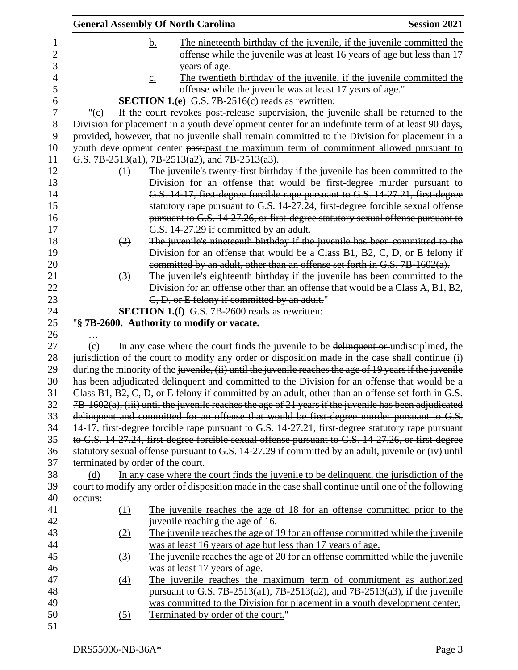|         |                   | <b>General Assembly Of North Carolina</b>                                                                                                                                                         | <b>Session 2021</b> |
|---------|-------------------|---------------------------------------------------------------------------------------------------------------------------------------------------------------------------------------------------|---------------------|
|         |                   | The nineteenth birthday of the juvenile, if the juvenile committed the<br><u>b.</u>                                                                                                               |                     |
|         |                   | offense while the juvenile was at least 16 years of age but less than 17                                                                                                                          |                     |
|         |                   | years of age.                                                                                                                                                                                     |                     |
|         |                   | The twentieth birthday of the juvenile, if the juvenile committed the<br>$\underline{c}$ .                                                                                                        |                     |
|         |                   | offense while the juvenile was at least 17 years of age."                                                                                                                                         |                     |
|         |                   | <b>SECTION 1.(e)</b> G.S. 7B-2516(c) reads as rewritten:                                                                                                                                          |                     |
| " $(c)$ |                   | If the court revokes post-release supervision, the juvenile shall be returned to the                                                                                                              |                     |
|         |                   | Division for placement in a youth development center for an indefinite term of at least 90 days,<br>provided, however, that no juvenile shall remain committed to the Division for placement in a |                     |
|         |                   | youth development center past-past the maximum term of commitment allowed pursuant to                                                                                                             |                     |
|         |                   | G.S. 7B-2513(a1), 7B-2513(a2), and 7B-2513(a3).                                                                                                                                                   |                     |
|         | $\leftrightarrow$ | The juvenile's twenty-first birthday if the juvenile has been committed to the                                                                                                                    |                     |
|         |                   | Division for an offense that would be first-degree murder pursuant to                                                                                                                             |                     |
|         |                   | G.S. 14-17, first degree forcible rape pursuant to G.S. 14-27.21, first degree                                                                                                                    |                     |
|         |                   | statutory rape pursuant to G.S. 14-27.24, first degree forcible sexual offense                                                                                                                    |                     |
|         |                   | pursuant to G.S. 14-27.26, or first-degree statutory sexual offense pursuant to                                                                                                                   |                     |
|         |                   | G.S. 14-27.29 if committed by an adult.                                                                                                                                                           |                     |
|         | (2)               | The juvenile's nineteenth birthday if the juvenile has been committed to the                                                                                                                      |                     |
|         |                   | Division for an offense that would be a Class B1, B2, C, D, or E felony if                                                                                                                        |                     |
|         |                   | committed by an adult, other than an offense set forth in G.S. 7B-1602(a).                                                                                                                        |                     |
|         | $\left(3\right)$  | The juvenile's eighteenth birthday if the juvenile has been committed to the                                                                                                                      |                     |
|         |                   | Division for an offense other than an offense that would be a Class A, B1, B2,                                                                                                                    |                     |
|         |                   | C, D, or E felony if committed by an adult."                                                                                                                                                      |                     |
|         |                   | <b>SECTION 1.(f)</b> G.S. 7B-2600 reads as rewritten:                                                                                                                                             |                     |
|         |                   | "§ 7B-2600. Authority to modify or vacate.                                                                                                                                                        |                     |
| (c)     |                   | In any case where the court finds the juvenile to be delinquent or undisciplined, the                                                                                                             |                     |
|         |                   | jurisdiction of the court to modify any order or disposition made in the case shall continue $\overrightarrow{H}$                                                                                 |                     |
|         |                   | during the minority of the juvenile, (ii) until the juvenile reaches the age of 19 years if the juvenile                                                                                          |                     |
|         |                   | has been adjudicated delinquent and committed to the Division for an offense that would be a                                                                                                      |                     |
|         |                   | Class B1, B2, C, D, or E felony if committed by an adult, other than an offense set forth in G.S.                                                                                                 |                     |
|         |                   | $7B-1602(a)$ , (iii) until the juvenile reaches the age of 21 years if the juvenile has been adjudicated                                                                                          |                     |
|         |                   | delinquent and committed for an offense that would be first-degree murder pursuant to G.S.                                                                                                        |                     |
|         |                   | 14-17, first-degree forcible rape pursuant to G.S. 14-27.21, first-degree statutory rape pursuant                                                                                                 |                     |
|         |                   | to G.S. 14-27.24, first degree forcible sexual offense pursuant to G.S. 14-27.26, or first degree                                                                                                 |                     |
|         |                   | statutory sexual offense pursuant to G.S. 14-27.29 if committed by an adult, juvenile or (iv) until                                                                                               |                     |
|         |                   | terminated by order of the court.                                                                                                                                                                 |                     |
| (d)     |                   | In any case where the court finds the juvenile to be delinquent, the jurisdiction of the                                                                                                          |                     |
|         |                   | court to modify any order of disposition made in the case shall continue until one of the following                                                                                               |                     |
| occurs: |                   |                                                                                                                                                                                                   |                     |
|         | (1)               | The juvenile reaches the age of 18 for an offense committed prior to the                                                                                                                          |                     |
|         |                   | juvenile reaching the age of 16.                                                                                                                                                                  |                     |
|         | (2)               | The juvenile reaches the age of 19 for an offense committed while the juvenile                                                                                                                    |                     |
|         |                   | was at least 16 years of age but less than 17 years of age.                                                                                                                                       |                     |
|         | (3)               | The juvenile reaches the age of 20 for an offense committed while the juvenile                                                                                                                    |                     |
|         |                   | was at least 17 years of age.                                                                                                                                                                     |                     |
|         | $\left(4\right)$  | The juvenile reaches the maximum term of commitment as authorized                                                                                                                                 |                     |
|         |                   | pursuant to G.S. 7B-2513(a1), 7B-2513(a2), and 7B-2513(a3), if the juvenile                                                                                                                       |                     |
|         |                   | was committed to the Division for placement in a youth development center.                                                                                                                        |                     |
|         | <u>(5)</u>        | Terminated by order of the court."                                                                                                                                                                |                     |
|         |                   |                                                                                                                                                                                                   |                     |
|         |                   |                                                                                                                                                                                                   |                     |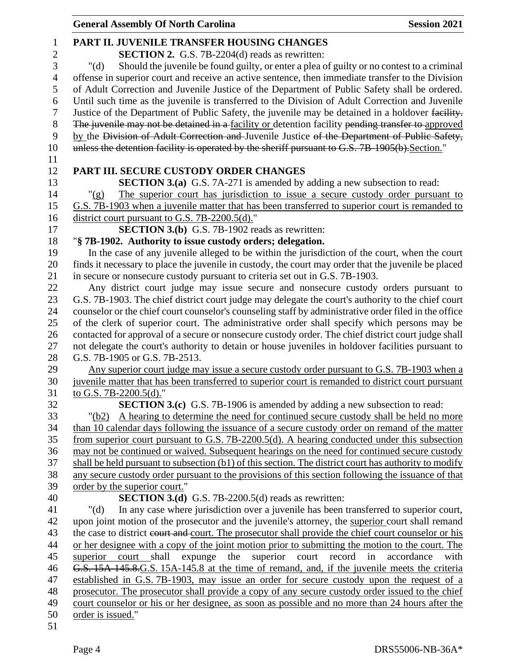|                | <b>General Assembly Of North Carolina</b>                                                                                                                                    | <b>Session 2021</b> |
|----------------|------------------------------------------------------------------------------------------------------------------------------------------------------------------------------|---------------------|
| $\mathbf{1}$   | PART II. JUVENILE TRANSFER HOUSING CHANGES                                                                                                                                   |                     |
| $\mathfrak{2}$ | <b>SECTION 2.</b> G.S. 7B-2204(d) reads as rewritten:                                                                                                                        |                     |
| 3              | Should the juvenile be found guilty, or enter a plea of guilty or no contest to a criminal<br>" $(d)$                                                                        |                     |
| $\overline{4}$ | offense in superior court and receive an active sentence, then immediate transfer to the Division                                                                            |                     |
| 5              | of Adult Correction and Juvenile Justice of the Department of Public Safety shall be ordered.                                                                                |                     |
| 6              | Until such time as the juvenile is transferred to the Division of Adult Correction and Juvenile                                                                              |                     |
| $\tau$         | Justice of the Department of Public Safety, the juvenile may be detained in a holdover facility.                                                                             |                     |
| $8\,$          | The juvenile may not be detained in a facility or detention facility pending transfer to approved                                                                            |                     |
| 9              | by the Division of Adult Correction and Juvenile Justice of the Department of Public Safety,                                                                                 |                     |
| 10             | unless the detention facility is operated by the sheriff pursuant to G.S. 7B-1905(b). Section."                                                                              |                     |
| 11             |                                                                                                                                                                              |                     |
| 12             | PART III. SECURE CUSTODY ORDER CHANGES                                                                                                                                       |                     |
| 13             | <b>SECTION 3.(a)</b> G.S. 7A-271 is amended by adding a new subsection to read:                                                                                              |                     |
| 14             | The superior court has jurisdiction to issue a secure custody order pursuant to<br>" $(g)$                                                                                   |                     |
| 15             | G.S. 7B-1903 when a juvenile matter that has been transferred to superior court is remanded to                                                                               |                     |
| 16             | district court pursuant to G.S. 7B-2200.5(d)."                                                                                                                               |                     |
| 17             | <b>SECTION 3.(b)</b> G.S. 7B-1902 reads as rewritten:                                                                                                                        |                     |
| 18             | "§ 7B-1902. Authority to issue custody orders; delegation.                                                                                                                   |                     |
| 19             | In the case of any juvenile alleged to be within the jurisdiction of the court, when the court                                                                               |                     |
| 20             | finds it necessary to place the juvenile in custody, the court may order that the juvenile be placed                                                                         |                     |
| 21             | in secure or nonsecure custody pursuant to criteria set out in G.S. 7B-1903.                                                                                                 |                     |
| 22             | Any district court judge may issue secure and nonsecure custody orders pursuant to                                                                                           |                     |
| 23             | G.S. 7B-1903. The chief district court judge may delegate the court's authority to the chief court                                                                           |                     |
| 24             | counselor or the chief court counselor's counseling staff by administrative order filed in the office                                                                        |                     |
| 25             | of the clerk of superior court. The administrative order shall specify which persons may be                                                                                  |                     |
| 26             | contacted for approval of a secure or nonsecure custody order. The chief district court judge shall                                                                          |                     |
| 27             | not delegate the court's authority to detain or house juveniles in holdover facilities pursuant to                                                                           |                     |
| 28             | G.S. 7B-1905 or G.S. 7B-2513.                                                                                                                                                |                     |
| 29             | Any superior court judge may issue a secure custody order pursuant to G.S. 7B-1903 when a                                                                                    |                     |
| 30             | juvenile matter that has been transferred to superior court is remanded to district court pursuant                                                                           |                     |
| 31             | to G.S. 7B-2200.5(d)."                                                                                                                                                       |                     |
| 32             | <b>SECTION 3.(c)</b> G.S. 7B-1906 is amended by adding a new subsection to read:                                                                                             |                     |
| 33             | A hearing to determine the need for continued secure custody shall be held no more<br>" $(b2)$                                                                               |                     |
| 34             | than 10 calendar days following the issuance of a secure custody order on remand of the matter                                                                               |                     |
| 35             | from superior court pursuant to G.S. 7B-2200.5(d). A hearing conducted under this subsection                                                                                 |                     |
| 36             | may not be continued or waived. Subsequent hearings on the need for continued secure custody                                                                                 |                     |
| 37             | shall be held pursuant to subsection (b1) of this section. The district court has authority to modify                                                                        |                     |
| 38             | any secure custody order pursuant to the provisions of this section following the issuance of that                                                                           |                     |
| 39             | order by the superior court."                                                                                                                                                |                     |
| 40             | <b>SECTION 3.(d)</b> G.S. 7B-2200.5(d) reads as rewritten:                                                                                                                   |                     |
| 41             | In any case where jurisdiction over a juvenile has been transferred to superior court,<br>" $(d)$                                                                            |                     |
| 42             | upon joint motion of the prosecutor and the juvenile's attorney, the superior court shall remand                                                                             |                     |
| 43<br>44       | the case to district court and court. The prosecutor shall provide the chief court counselor or his                                                                          |                     |
| 45             | or her designee with a copy of the joint motion prior to submitting the motion to the court. The<br>expunge the<br>superior court<br>record<br>superior<br>court shall<br>in | accordance<br>with  |
| 46             | G.S. 15A-145.8.G.S. 15A-145.8 at the time of remand, and, if the juvenile meets the criteria                                                                                 |                     |
| 47             | established in G.S. 7B-1903, may issue an order for secure custody upon the request of a                                                                                     |                     |
| 48             | prosecutor. The prosecutor shall provide a copy of any secure custody order issued to the chief                                                                              |                     |
| 49             | court counselor or his or her designee, as soon as possible and no more than 24 hours after the                                                                              |                     |
| 50             | order is issued."                                                                                                                                                            |                     |
| 51             |                                                                                                                                                                              |                     |